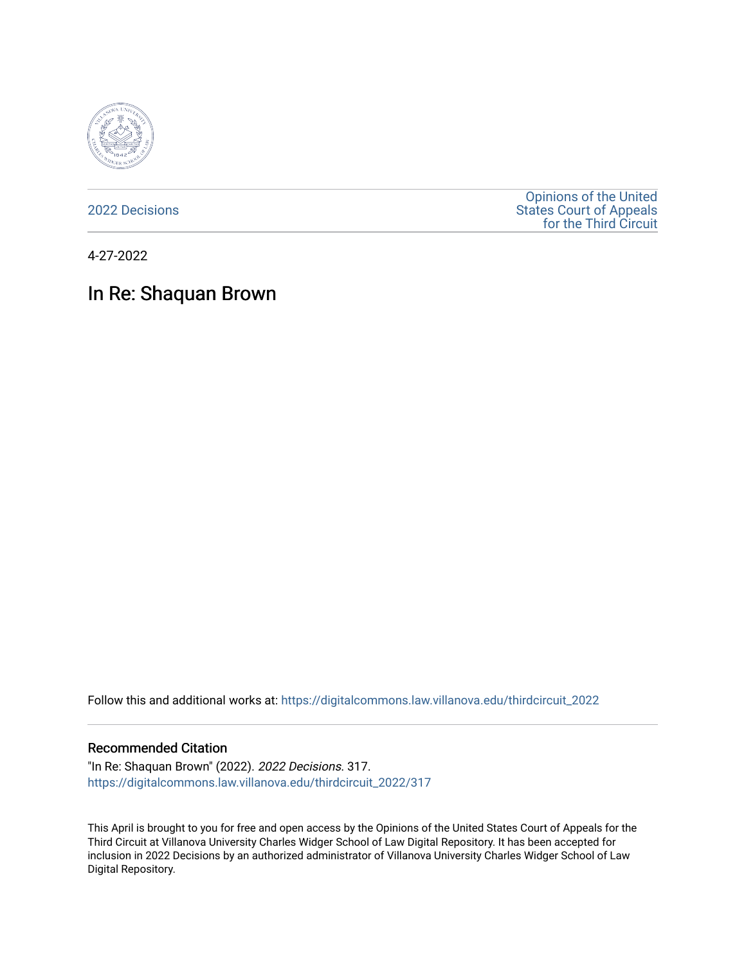

[2022 Decisions](https://digitalcommons.law.villanova.edu/thirdcircuit_2022)

[Opinions of the United](https://digitalcommons.law.villanova.edu/thirdcircuit)  [States Court of Appeals](https://digitalcommons.law.villanova.edu/thirdcircuit)  [for the Third Circuit](https://digitalcommons.law.villanova.edu/thirdcircuit) 

4-27-2022

# In Re: Shaquan Brown

Follow this and additional works at: [https://digitalcommons.law.villanova.edu/thirdcircuit\\_2022](https://digitalcommons.law.villanova.edu/thirdcircuit_2022?utm_source=digitalcommons.law.villanova.edu%2Fthirdcircuit_2022%2F317&utm_medium=PDF&utm_campaign=PDFCoverPages) 

#### Recommended Citation

"In Re: Shaquan Brown" (2022). 2022 Decisions. 317. [https://digitalcommons.law.villanova.edu/thirdcircuit\\_2022/317](https://digitalcommons.law.villanova.edu/thirdcircuit_2022/317?utm_source=digitalcommons.law.villanova.edu%2Fthirdcircuit_2022%2F317&utm_medium=PDF&utm_campaign=PDFCoverPages)

This April is brought to you for free and open access by the Opinions of the United States Court of Appeals for the Third Circuit at Villanova University Charles Widger School of Law Digital Repository. It has been accepted for inclusion in 2022 Decisions by an authorized administrator of Villanova University Charles Widger School of Law Digital Repository.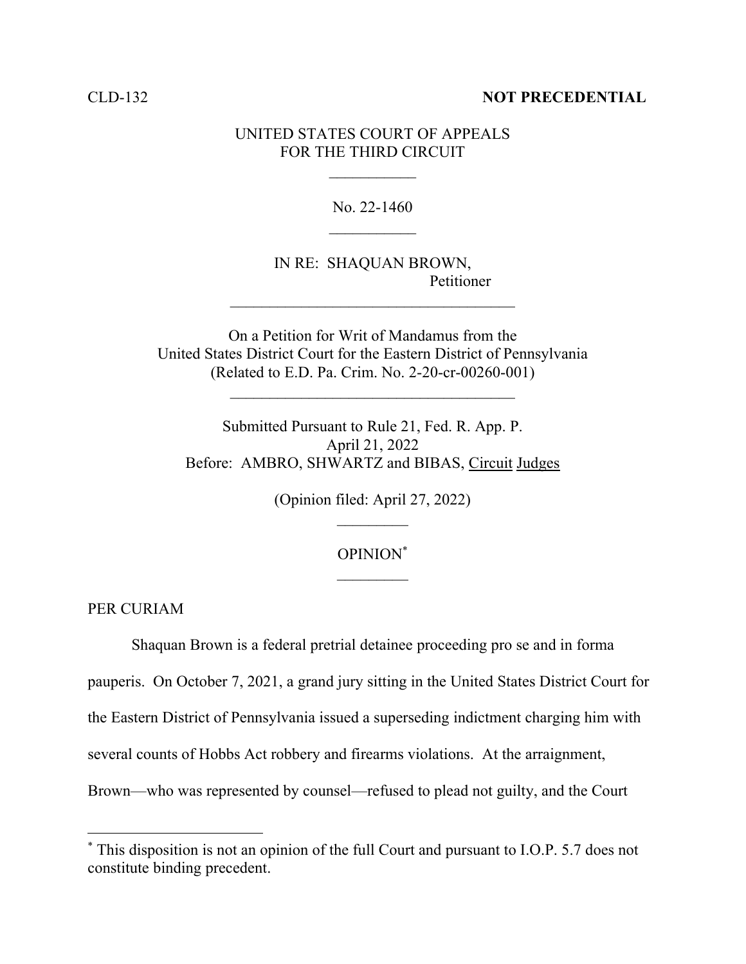### CLD-132 **NOT PRECEDENTIAL**

## UNITED STATES COURT OF APPEALS FOR THE THIRD CIRCUIT

No. 22-1460  $\frac{1}{2}$ 

IN RE: SHAQUAN BROWN, Petitioner

On a Petition for Writ of Mandamus from the United States District Court for the Eastern District of Pennsylvania (Related to E.D. Pa. Crim. No. 2-20-cr-00260-001)

 $\mathcal{L}_\text{max}$  , where  $\mathcal{L}_\text{max}$  is the set of  $\mathcal{L}_\text{max}$ 

 $\mathcal{L}_\text{max}$ 

Submitted Pursuant to Rule 21, Fed. R. App. P. April 21, 2022 Before: AMBRO, SHWARTZ and BIBAS, Circuit Judges

(Opinion filed: April 27, 2022)

## OPINION\*

PER CURIAM

Shaquan Brown is a federal pretrial detainee proceeding pro se and in forma pauperis. On October 7, 2021, a grand jury sitting in the United States District Court for the Eastern District of Pennsylvania issued a superseding indictment charging him with several counts of Hobbs Act robbery and firearms violations. At the arraignment, Brown—who was represented by counsel—refused to plead not guilty, and the Court

<sup>\*</sup> This disposition is not an opinion of the full Court and pursuant to I.O.P. 5.7 does not constitute binding precedent.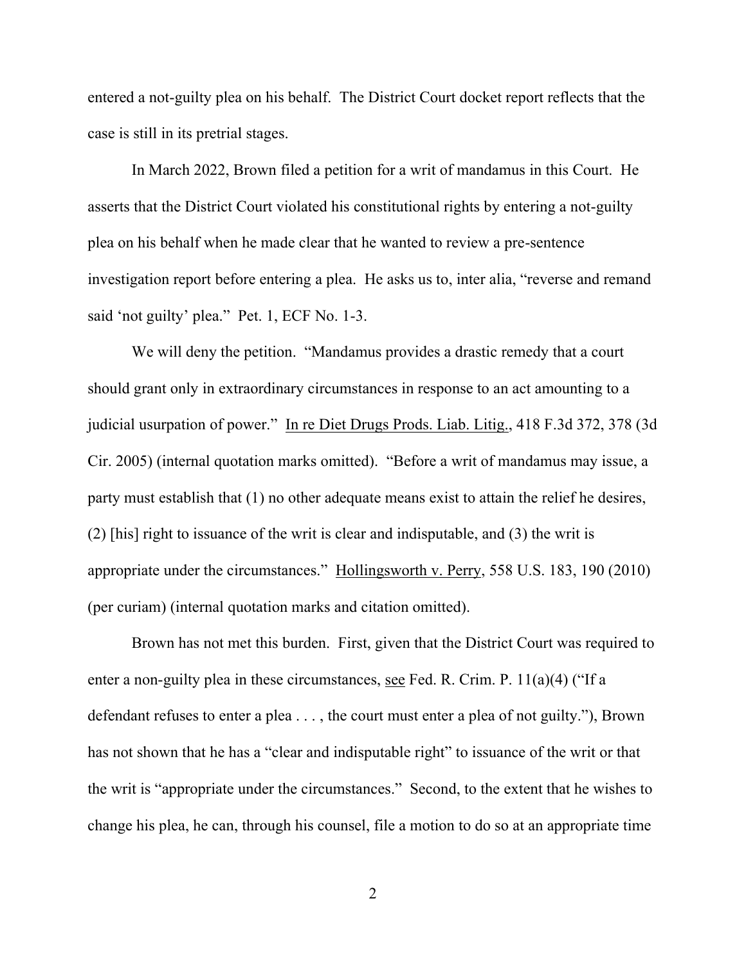entered a not-guilty plea on his behalf. The District Court docket report reflects that the case is still in its pretrial stages.

In March 2022, Brown filed a petition for a writ of mandamus in this Court. He asserts that the District Court violated his constitutional rights by entering a not-guilty plea on his behalf when he made clear that he wanted to review a pre-sentence investigation report before entering a plea. He asks us to, inter alia, "reverse and remand said 'not guilty' plea." Pet. 1, ECF No. 1-3.

We will deny the petition. "Mandamus provides a drastic remedy that a court should grant only in extraordinary circumstances in response to an act amounting to a judicial usurpation of power." In re Diet Drugs Prods. Liab. Litig., 418 F.3d 372, 378 (3d Cir. 2005) (internal quotation marks omitted). "Before a writ of mandamus may issue, a party must establish that (1) no other adequate means exist to attain the relief he desires, (2) [his] right to issuance of the writ is clear and indisputable, and (3) the writ is appropriate under the circumstances." Hollingsworth v. Perry, 558 U.S. 183, 190 (2010) (per curiam) (internal quotation marks and citation omitted).

Brown has not met this burden. First, given that the District Court was required to enter a non-guilty plea in these circumstances, see Fed. R. Crim. P. 11(a)(4) ("If a defendant refuses to enter a plea . . . , the court must enter a plea of not guilty."), Brown has not shown that he has a "clear and indisputable right" to issuance of the writ or that the writ is "appropriate under the circumstances." Second, to the extent that he wishes to change his plea, he can, through his counsel, file a motion to do so at an appropriate time

2